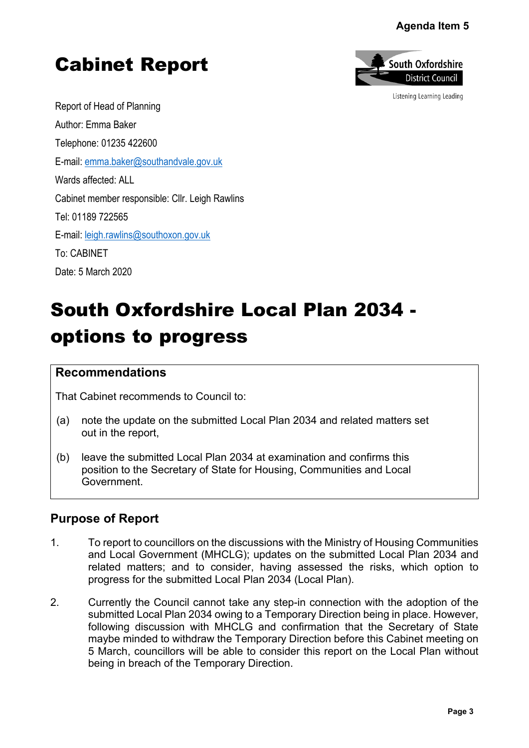### **Agenda Item 5**

# Cabinet Report



Listening Learning Leading

Report of Head of Planning Author: Emma Baker Telephone: 01235 422600 E-mail: [emma.baker@southandvale.gov.uk](mailto:emma.baker@southandvale.gov.uk) Wards affected: ALL Cabinet member responsible: Cllr. Leigh Rawlins Tel: 01189 722565 E-mail: [leigh.rawlins@southoxon.gov.uk](mailto:leigh.rawlins@southoxon.gov.uk) To: CABINET Date: 5 March 2020

# South Oxfordshire Local Plan 2034 options to progress

#### **Recommendations**

That Cabinet recommends to Council to:

- (a) note the update on the submitted Local Plan 2034 and related matters set out in the report,
- (b) leave the submitted Local Plan 2034 at examination and confirms this position to the Secretary of State for Housing, Communities and Local Government.

## **Purpose of Report**

- 1. To report to councillors on the discussions with the Ministry of Housing Communities and Local Government (MHCLG); updates on the submitted Local Plan 2034 and related matters; and to consider, having assessed the risks, which option to progress for the submitted Local Plan 2034 (Local Plan).
- 2. Currently the Council cannot take any step-in connection with the adoption of the submitted Local Plan 2034 owing to a Temporary Direction being in place. However, following discussion with MHCLG and confirmation that the Secretary of State maybe minded to withdraw the Temporary Direction before this Cabinet meeting on 5 March, councillors will be able to consider this report on the Local Plan without being in breach of the Temporary Direction. Agenda Item 5<br>
buth Oxfordshire<br>
District Council<br>
istening Learning Leading<br>
istening Learning Leading<br>
al Plan 2034 an<br>
which option t<br>
e adoption of th<br>
n place. Howeve<br>
ecretary of Stat<br>
abinet meeting o<br>
ocal Plan wit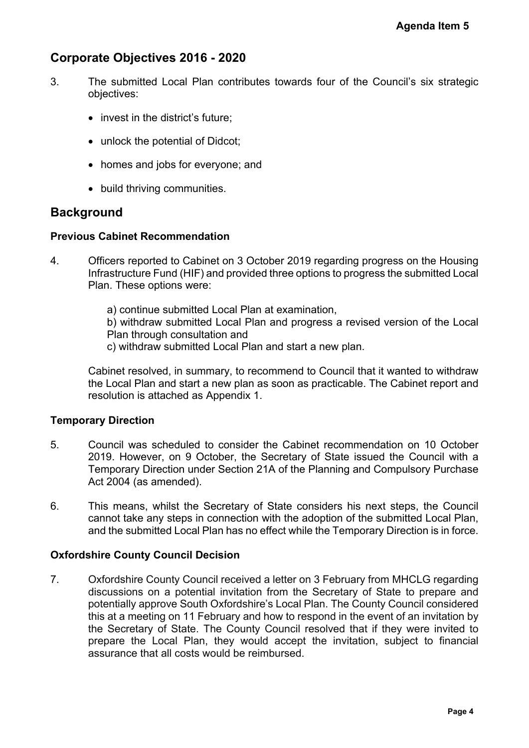## **Corporate Objectives 2016 - 2020**

- 3. The submitted Local Plan contributes towards four of the Council's six strategic objectives:
	- invest in the district's future;
	- unlock the potential of Didcot;
	- homes and jobs for everyone; and
	- build thriving communities.

## **Background**

#### **Previous Cabinet Recommendation**

4. Officers reported to Cabinet on 3 October 2019 regarding progress on the Housing Infrastructure Fund (HIF) and provided three options to progress the submitted Local Plan. These options were:

> a) continue submitted Local Plan at examination, b) withdraw submitted Local Plan and progress a revised version of the Local Plan through consultation and

c) withdraw submitted Local Plan and start a new plan.

Cabinet resolved, in summary, to recommend to Council that it wanted to withdraw the Local Plan and start a new plan as soon as practicable. The Cabinet report and resolution is attached as Appendix 1.

#### **Temporary Direction**

- 5. Council was scheduled to consider the Cabinet recommendation on 10 October 2019. However, on 9 October, the Secretary of State issued the Council with a Temporary Direction under Section 21A of the Planning and Compulsory Purchase Act 2004 (as amended).
- 6. This means, whilst the Secretary of State considers his next steps, the Council cannot take any steps in connection with the adoption of the submitted Local Plan, and the submitted Local Plan has no effect while the Temporary Direction is in force.

#### **Oxfordshire County Council Decision**

7. Oxfordshire County Council received a letter on 3 February from MHCLG regarding discussions on a potential invitation from the Secretary of State to prepare and potentially approve South Oxfordshire's Local Plan. The County Council considered this at a meeting on 11 February and how to respond in the event of an invitation by the Secretary of State. The County Council resolved that if they were invited to prepare the Local Plan, they would accept the invitation, subject to financial assurance that all costs would be reimbursed. **Agenda Item 5**<br>**Pagenda Item 5**<br>**Page 3 Agent Six Strategi**<br>**Page 4 Page 3**<br>**Page 4 Page 4**<br>**Page 4**<br>**Page 4**<br>**Page 4**<br>**Page 4**<br>**Page 4**<br>**Page 4**<br>**Page 4**<br>**Page 4**<br>**Page 4**<br>**Page 4**<br>**Page 4**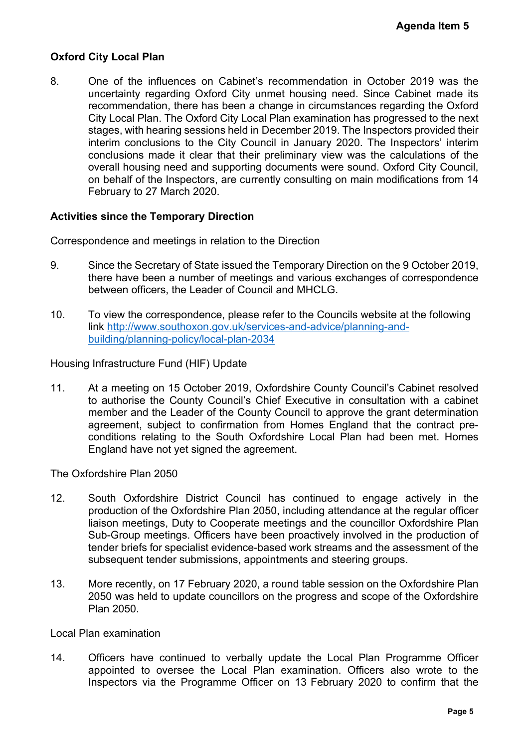#### **Oxford City Local Plan**

8. One of the influences on Cabinet's recommendation in October 2019 was the uncertainty regarding Oxford City unmet housing need. Since Cabinet made its recommendation, there has been a change in circumstances regarding the Oxford City Local Plan. The Oxford City Local Plan examination has progressed to the next stages, with hearing sessions held in December 2019. The Inspectors provided their interim conclusions to the City Council in January 2020. The Inspectors' interim conclusions made it clear that their preliminary view was the calculations of the overall housing need and supporting documents were sound. Oxford City Council, on behalf of the Inspectors, are currently consulting on main modifications from 14 February to 27 March 2020. **Agenda Item 5**<br>
er 2019 was th<br>
Cabinet made it<br>
arding the Oxfor<br>
ressed to the nex<br>
tors provided the<br>
nspectors' interir<br>
alculations of th<br>
ford City Counci<br>
lifications from 1<br>
lifications from 1<br>
e 9 October 2019<br>
f

#### **Activities since the Temporary Direction**

Correspondence and meetings in relation to the Direction

- 9. Since the Secretary of State issued the Temporary Direction on the 9 October 2019, there have been a number of meetings and various exchanges of correspondence between officers, the Leader of Council and MHCLG.
- 10. To view the correspondence, please refer to the Councils website at the following link [http://www.southoxon.gov.uk/services-and-advice/planning-and](http://www.southoxon.gov.uk/services-and-advice/planning-and-building/planning-policy/local-plan-2034)[building/planning-policy/local-plan-2034](http://www.southoxon.gov.uk/services-and-advice/planning-and-building/planning-policy/local-plan-2034)

Housing Infrastructure Fund (HIF) Update

11. At a meeting on 15 October 2019, Oxfordshire County Council's Cabinet resolved to authorise the County Council's Chief Executive in consultation with a cabinet member and the Leader of the County Council to approve the grant determination agreement, subject to confirmation from Homes England that the contract preconditions relating to the South Oxfordshire Local Plan had been met. Homes England have not yet signed the agreement.

The Oxfordshire Plan 2050

- 12. South Oxfordshire District Council has continued to engage actively in the production of the Oxfordshire Plan 2050, including attendance at the regular officer liaison meetings, Duty to Cooperate meetings and the councillor Oxfordshire Plan Sub-Group meetings. Officers have been proactively involved in the production of tender briefs for specialist evidence-based work streams and the assessment of the subsequent tender submissions, appointments and steering groups.
- 13. More recently, on 17 February 2020, a round table session on the Oxfordshire Plan 2050 was held to update councillors on the progress and scope of the Oxfordshire Plan 2050.

Local Plan examination

14. Officers have continued to verbally update the Local Plan Programme Officer appointed to oversee the Local Plan examination. Officers also wrote to the Inspectors via the Programme Officer on 13 February 2020 to confirm that the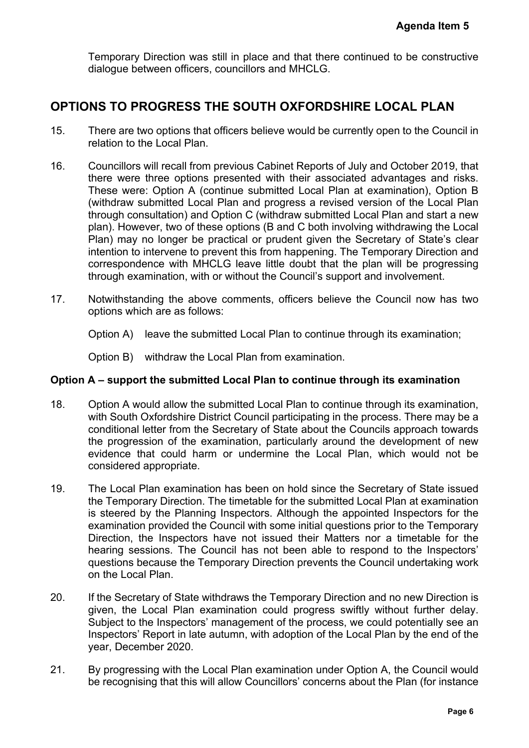Temporary Direction was still in place and that there continued to be constructive dialogue between officers, councillors and MHCLG.

# **OPTIONS TO PROGRESS THE SOUTH OXFORDSHIRE LOCAL PLAN**

- 15. There are two options that officers believe would be currently open to the Council in relation to the Local Plan.
- 16. Councillors will recall from previous Cabinet Reports of July and October 2019, that there were three options presented with their associated advantages and risks. These were: Option A (continue submitted Local Plan at examination), Option B (withdraw submitted Local Plan and progress a revised version of the Local Plan through consultation) and Option C (withdraw submitted Local Plan and start a new plan). However, two of these options (B and C both involving withdrawing the Local Plan) may no longer be practical or prudent given the Secretary of State's clear intention to intervene to prevent this from happening. The Temporary Direction and correspondence with MHCLG leave little doubt that the plan will be progressing through examination, with or without the Council's support and involvement. **Agenda Item 5**<br>
o be constructiv<br> **CAL PLAN**<br>
to the Council i<br>
become 2019, that<br>
intages and risks<br>
nation), Option I<br>
of the Local Pla<br>
in and start a new<br>
y of State's clear<br>
cleary Direction an<br>
ill be progressin<br>
ro
- 17. Notwithstanding the above comments, officers believe the Council now has two options which are as follows:

Option A) leave the submitted Local Plan to continue through its examination;

Option B) withdraw the Local Plan from examination.

#### **Option A – support the submitted Local Plan to continue through its examination**

- 18. Option A would allow the submitted Local Plan to continue through its examination, with South Oxfordshire District Council participating in the process. There may be a conditional letter from the Secretary of State about the Councils approach towards the progression of the examination, particularly around the development of new evidence that could harm or undermine the Local Plan, which would not be considered appropriate.
- 19. The Local Plan examination has been on hold since the Secretary of State issued the Temporary Direction. The timetable for the submitted Local Plan at examination is steered by the Planning Inspectors. Although the appointed Inspectors for the examination provided the Council with some initial questions prior to the Temporary Direction, the Inspectors have not issued their Matters nor a timetable for the hearing sessions. The Council has not been able to respond to the Inspectors' questions because the Temporary Direction prevents the Council undertaking work on the Local Plan.
- 20. If the Secretary of State withdraws the Temporary Direction and no new Direction is given, the Local Plan examination could progress swiftly without further delay. Subject to the Inspectors' management of the process, we could potentially see an Inspectors' Report in late autumn, with adoption of the Local Plan by the end of the year, December 2020.
- 21. By progressing with the Local Plan examination under Option A, the Council would be recognising that this will allow Councillors' concerns about the Plan (for instance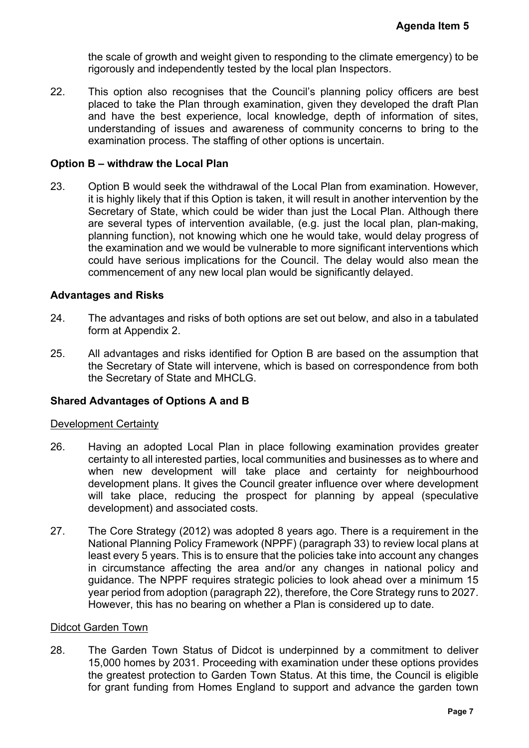the scale of growth and weight given to responding to the climate emergency) to be rigorously and independently tested by the local plan Inspectors.

22. This option also recognises that the Council's planning policy officers are best placed to take the Plan through examination, given they developed the draft Plan and have the best experience, local knowledge, depth of information of sites, understanding of issues and awareness of community concerns to bring to the examination process. The staffing of other options is uncertain.

#### **Option B – withdraw the Local Plan**

23. Option B would seek the withdrawal of the Local Plan from examination. However, it is highly likely that if this Option is taken, it will result in another intervention by the Secretary of State, which could be wider than just the Local Plan. Although there are several types of intervention available, (e.g. just the local plan, plan-making, planning function), not knowing which one he would take, would delay progress of the examination and we would be vulnerable to more significant interventions which could have serious implications for the Council. The delay would also mean the commencement of any new local plan would be significantly delayed. **Agenda Item 5**<br>
emergency) to b<br>
officers are bes<br>
bed the draft Pla<br>
prmation of sites<br>
to bring to th<br>
ination. Howeve<br>
intervention by th<br>
n. Although ther<br>
lan, plan-making<br>
delay progress c<br>
terventions whic<br>
ld also

#### **Advantages and Risks**

- 24. The advantages and risks of both options are set out below, and also in a tabulated form at Appendix 2.
- 25. All advantages and risks identified for Option B are based on the assumption that the Secretary of State will intervene, which is based on correspondence from both the Secretary of State and MHCLG.

#### **Shared Advantages of Options A and B**

#### Development Certainty

- 26. Having an adopted Local Plan in place following examination provides greater certainty to all interested parties, local communities and businesses as to where and when new development will take place and certainty for neighbourhood development plans. It gives the Council greater influence over where development will take place, reducing the prospect for planning by appeal (speculative development) and associated costs.
- 27. The Core Strategy (2012) was adopted 8 years ago. There is a requirement in the National Planning Policy Framework (NPPF) (paragraph 33) to review local plans at least every 5 years. This is to ensure that the policies take into account any changes in circumstance affecting the area and/or any changes in national policy and guidance. The NPPF requires strategic policies to look ahead over a minimum 15 year period from adoption (paragraph 22), therefore, the Core Strategy runs to 2027. However, this has no bearing on whether a Plan is considered up to date.

#### Didcot Garden Town

28. The Garden Town Status of Didcot is underpinned by a commitment to deliver 15,000 homes by 2031. Proceeding with examination under these options provides the greatest protection to Garden Town Status. At this time, the Council is eligible for grant funding from Homes England to support and advance the garden town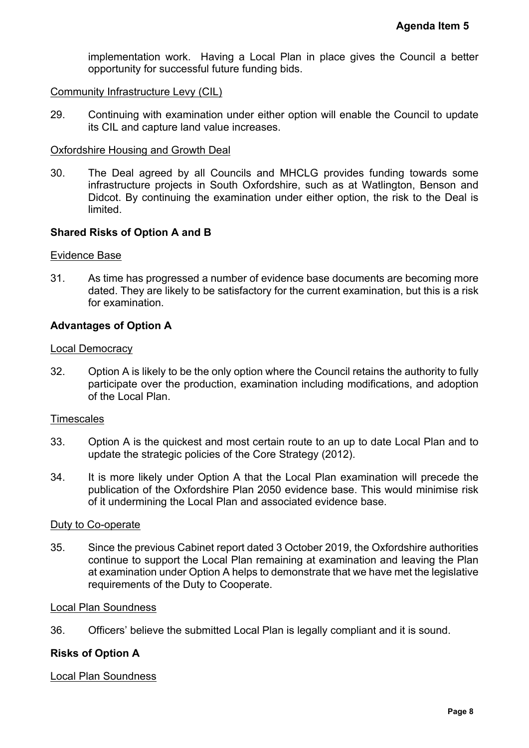implementation work. Having a Local Plan in place gives the Council a better opportunity for successful future funding bids.

#### Community Infrastructure Levy (CIL)

29. Continuing with examination under either option will enable the Council to update its CIL and capture land value increases.

#### Oxfordshire Housing and Growth Deal

30. The Deal agreed by all Councils and MHCLG provides funding towards some infrastructure projects in South Oxfordshire, such as at Watlington, Benson and Didcot. By continuing the examination under either option, the risk to the Deal is limited. Agenda Item 5<br>
Council a bette<br>
Council to updat<br>
Ig towards som<br>
Ig towards som<br>
Ig towards som<br>
Intigram<br>
Is to the Deal<br>
is to the Deal<br>
Pe becoming mor<br>
Pe becoming mor<br>
Pe becoming mor<br>
Local Plan and t<br>
I will preced

#### **Shared Risks of Option A and B**

#### Evidence Base

31. As time has progressed a number of evidence base documents are becoming more dated. They are likely to be satisfactory for the current examination, but this is a risk for examination.

#### **Advantages of Option A**

#### Local Democracy

32. Option A is likely to be the only option where the Council retains the authority to fully participate over the production, examination including modifications, and adoption of the Local Plan.

#### **Timescales**

- 33. Option A is the quickest and most certain route to an up to date Local Plan and to update the strategic policies of the Core Strategy (2012).
- 34. It is more likely under Option A that the Local Plan examination will precede the publication of the Oxfordshire Plan 2050 evidence base. This would minimise risk of it undermining the Local Plan and associated evidence base.

#### Duty to Co-operate

35. Since the previous Cabinet report dated 3 October 2019, the Oxfordshire authorities continue to support the Local Plan remaining at examination and leaving the Plan at examination under Option A helps to demonstrate that we have met the legislative requirements of the Duty to Cooperate.

#### Local Plan Soundness

36. Officers' believe the submitted Local Plan is legally compliant and it is sound.

#### **Risks of Option A**

#### Local Plan Soundness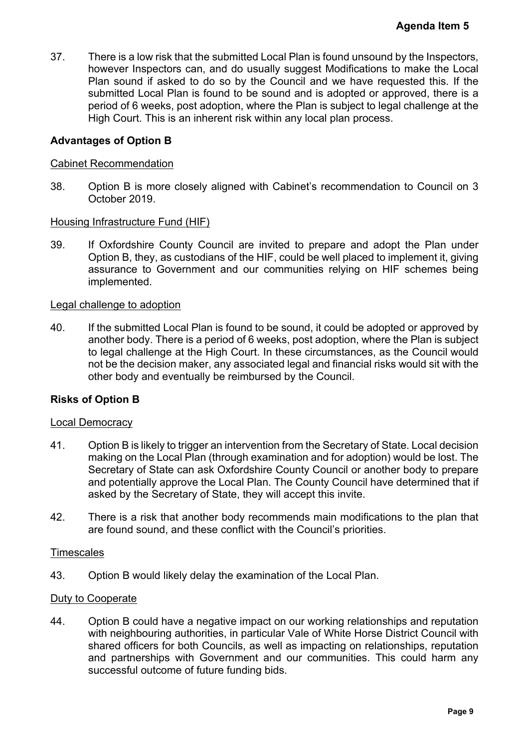37. There is a low risk that the submitted Local Plan is found unsound by the Inspectors, however Inspectors can, and do usually suggest Modifications to make the Local Plan sound if asked to do so by the Council and we have requested this. If the submitted Local Plan is found to be sound and is adopted or approved, there is a period of 6 weeks, post adoption, where the Plan is subject to legal challenge at the High Court. This is an inherent risk within any local plan process. Agenda Item 5<br>by the Inspectors<br>o make the Loca<br>uested this. If th<br>proved, there is<br>al challenge at th<br>al challenge at th<br>the Plan unde<br>pplement it, givin<br>For schemes bein<br>and pplement it, givin<br>For schemes bein<br>and the Pl

#### **Advantages of Option B**

#### Cabinet Recommendation

38. Option B is more closely aligned with Cabinet's recommendation to Council on 3 October 2019.

#### Housing Infrastructure Fund (HIF)

39. If Oxfordshire County Council are invited to prepare and adopt the Plan under Option B, they, as custodians of the HIF, could be well placed to implement it, giving assurance to Government and our communities relying on HIF schemes being implemented.

#### Legal challenge to adoption

40. If the submitted Local Plan is found to be sound, it could be adopted or approved by another body. There is a period of 6 weeks, post adoption, where the Plan is subject to legal challenge at the High Court. In these circumstances, as the Council would not be the decision maker, any associated legal and financial risks would sit with the other body and eventually be reimbursed by the Council.

#### **Risks of Option B**

#### Local Democracy

- 41. Option B is likely to trigger an intervention from the Secretary of State. Local decision making on the Local Plan (through examination and for adoption) would be lost. The Secretary of State can ask Oxfordshire County Council or another body to prepare and potentially approve the Local Plan. The County Council have determined that if asked by the Secretary of State, they will accept this invite.
- 42. There is a risk that another body recommends main modifications to the plan that are found sound, and these conflict with the Council's priorities.

#### **Timescales**

43. Option B would likely delay the examination of the Local Plan.

#### Duty to Cooperate

44. Option B could have a negative impact on our working relationships and reputation with neighbouring authorities, in particular Vale of White Horse District Council with shared officers for both Councils, as well as impacting on relationships, reputation and partnerships with Government and our communities. This could harm any successful outcome of future funding bids.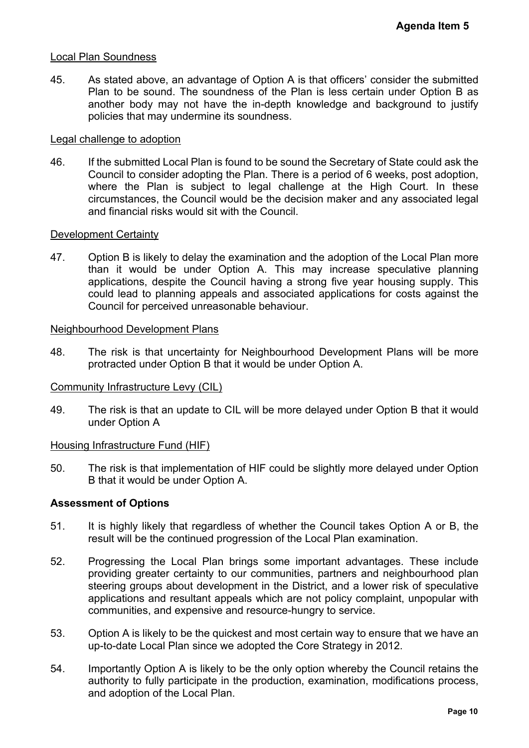#### Local Plan Soundness

45. As stated above, an advantage of Option A is that officers' consider the submitted Plan to be sound. The soundness of the Plan is less certain under Option B as another body may not have the in-depth knowledge and background to justify policies that may undermine its soundness.

#### Legal challenge to adoption

46. If the submitted Local Plan is found to be sound the Secretary of State could ask the Council to consider adopting the Plan. There is a period of 6 weeks, post adoption, where the Plan is subject to legal challenge at the High Court. In these circumstances, the Council would be the decision maker and any associated legal and financial risks would sit with the Council. Agenda Item 5<br>
der the submitted<br>
nder Option B as<br>
sground to justify<br>
tate could ask the<br>
ks, post adoption,<br>
Court. In these<br> *P* associated legal<br>
Performing<br>
Performing<br>
Sing supply. This<br>
costs against the<br>
ans will

#### Development Certainty

47. Option B is likely to delay the examination and the adoption of the Local Plan more than it would be under Option A. This may increase speculative planning applications, despite the Council having a strong five year housing supply. This could lead to planning appeals and associated applications for costs against the Council for perceived unreasonable behaviour.

#### Neighbourhood Development Plans

48. The risk is that uncertainty for Neighbourhood Development Plans will be more protracted under Option B that it would be under Option A.

#### Community Infrastructure Levy (CIL)

49. The risk is that an update to CIL will be more delayed under Option B that it would under Option A

#### Housing Infrastructure Fund (HIF)

50. The risk is that implementation of HIF could be slightly more delayed under Option B that it would be under Option A.

#### **Assessment of Options**

- 51. It is highly likely that regardless of whether the Council takes Option A or B, the result will be the continued progression of the Local Plan examination.
- 52. Progressing the Local Plan brings some important advantages. These include providing greater certainty to our communities, partners and neighbourhood plan steering groups about development in the District, and a lower risk of speculative applications and resultant appeals which are not policy complaint, unpopular with communities, and expensive and resource-hungry to service.
- 53. Option A is likely to be the quickest and most certain way to ensure that we have an up-to-date Local Plan since we adopted the Core Strategy in 2012.
- 54. Importantly Option A is likely to be the only option whereby the Council retains the authority to fully participate in the production, examination, modifications process, and adoption of the Local Plan.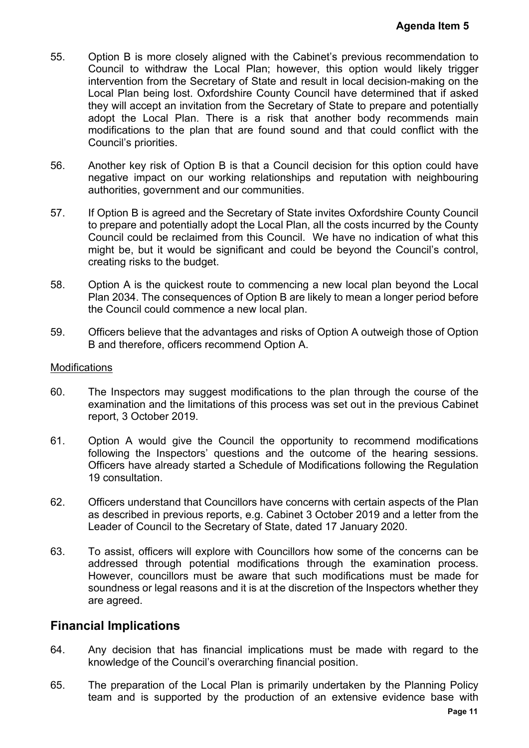- 55. Option B is more closely aligned with the Cabinet's previous recommendation to Council to withdraw the Local Plan; however, this option would likely trigger intervention from the Secretary of State and result in local decision-making on the Local Plan being lost. Oxfordshire County Council have determined that if asked they will accept an invitation from the Secretary of State to prepare and potentially adopt the Local Plan. There is a risk that another body recommends main modifications to the plan that are found sound and that could conflict with the Council's priorities. **Agenda Item 5**<br>
commendation to<br>
buld likely trigger<br>
on-making on the<br>
ined that if asked<br>
re and potentially<br>
commends main<br>
conflict with the<br>
option could have<br>
with neighbouring<br>
re County Council<br>
red by the County<br>
- 56. Another key risk of Option B is that a Council decision for this option could have negative impact on our working relationships and reputation with neighbouring authorities, government and our communities.
- 57. If Option B is agreed and the Secretary of State invites Oxfordshire County Council to prepare and potentially adopt the Local Plan, all the costs incurred by the County Council could be reclaimed from this Council. We have no indication of what this might be, but it would be significant and could be beyond the Council's control, creating risks to the budget.
- 58. Option A is the quickest route to commencing a new local plan beyond the Local Plan 2034. The consequences of Option B are likely to mean a longer period before the Council could commence a new local plan.
- 59. Officers believe that the advantages and risks of Option A outweigh those of Option B and therefore, officers recommend Option A.

#### **Modifications**

- 60. The Inspectors may suggest modifications to the plan through the course of the examination and the limitations of this process was set out in the previous Cabinet report, 3 October 2019.
- 61. Option A would give the Council the opportunity to recommend modifications following the Inspectors' questions and the outcome of the hearing sessions. Officers have already started a Schedule of Modifications following the Regulation 19 consultation.
- 62. Officers understand that Councillors have concerns with certain aspects of the Plan as described in previous reports, e.g. Cabinet 3 October 2019 and a letter from the Leader of Council to the Secretary of State, dated 17 January 2020.
- 63. To assist, officers will explore with Councillors how some of the concerns can be addressed through potential modifications through the examination process. However, councillors must be aware that such modifications must be made for soundness or legal reasons and it is at the discretion of the Inspectors whether they are agreed.

#### **Financial Implications**

- 64. Any decision that has financial implications must be made with regard to the knowledge of the Council's overarching financial position.
- 65. The preparation of the Local Plan is primarily undertaken by the Planning Policy team and is supported by the production of an extensive evidence base with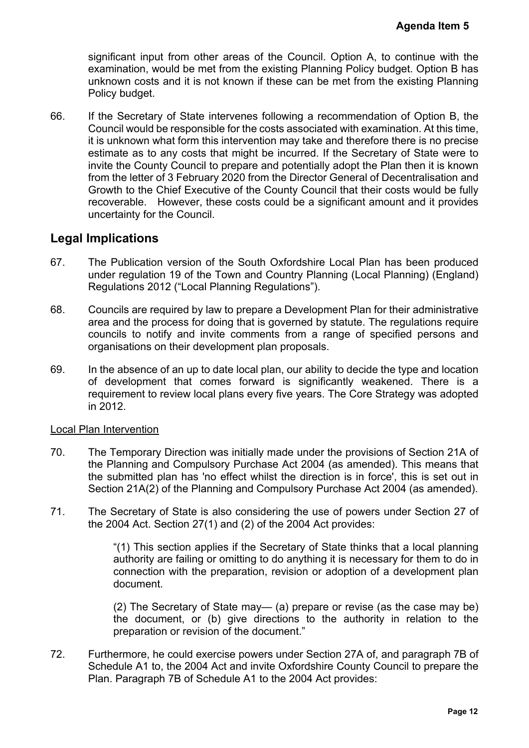significant input from other areas of the Council. Option A, to continue with the examination, would be met from the existing Planning Policy budget. Option B has unknown costs and it is not known if these can be met from the existing Planning Policy budget.

66. If the Secretary of State intervenes following a recommendation of Option B, the Council would be responsible for the costs associated with examination. At this time, it is unknown what form this intervention may take and therefore there is no precise estimate as to any costs that might be incurred. If the Secretary of State were to invite the County Council to prepare and potentially adopt the Plan then it is known from the letter of 3 February 2020 from the Director General of Decentralisation and Growth to the Chief Executive of the County Council that their costs would be fully recoverable. However, these costs could be a significant amount and it provides uncertainty for the Council. **Agenda Item 5**<br>
continue with the<br>
get. Option B has<br>
existing Planning<br>
of Option B, the<br>
ation. At this time,<br>
here is no precise<br>
of State were to<br>
n then it is known<br>
centralisation and<br>
sts would be fully<br>
nt and it

## **Legal Implications**

- 67. The Publication version of the South Oxfordshire Local Plan has been produced under regulation 19 of the Town and Country Planning (Local Planning) (England) Regulations 2012 ("Local Planning Regulations").
- 68. Councils are required by law to prepare a Development Plan for their administrative area and the process for doing that is governed by statute. The regulations require councils to notify and invite comments from a range of specified persons and organisations on their development plan proposals.
- 69. In the absence of an up to date local plan, our ability to decide the type and location of development that comes forward is significantly weakened. There is a requirement to review local plans every five years. The Core Strategy was adopted in 2012.

#### Local Plan Intervention

- 70. The Temporary Direction was initially made under the provisions of Section 21A of the Planning and Compulsory Purchase Act 2004 (as amended). This means that the submitted plan has 'no effect whilst the direction is in force', this is set out in Section 21A(2) of the Planning and Compulsory Purchase Act 2004 (as amended).
- 71. The Secretary of State is also considering the use of powers under Section 27 of the 2004 Act. Section 27(1) and (2) of the 2004 Act provides:

"(1) This section applies if the Secretary of State thinks that a local planning authority are failing or omitting to do anything it is necessary for them to do in connection with the preparation, revision or adoption of a development plan document.

(2) The Secretary of State may— (a) prepare or revise (as the case may be) the document, or (b) give directions to the authority in relation to the preparation or revision of the document."

72. Furthermore, he could exercise powers under Section 27A of, and paragraph 7B of Schedule A1 to, the 2004 Act and invite Oxfordshire County Council to prepare the Plan. Paragraph 7B of Schedule A1 to the 2004 Act provides: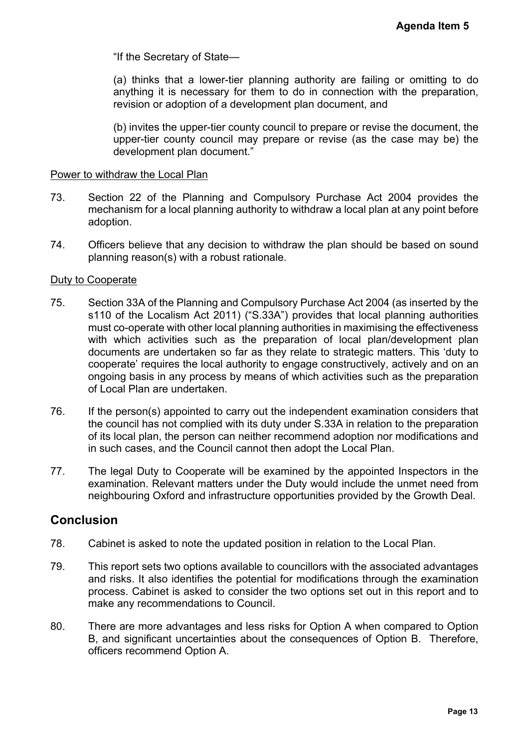"If the Secretary of State—

(a) thinks that a lower-tier planning authority are failing or omitting to do anything it is necessary for them to do in connection with the preparation, revision or adoption of a development plan document, and

(b) invites the upper-tier county council to prepare or revise the document, the upper-tier county council may prepare or revise (as the case may be) the development plan document."

#### Power to withdraw the Local Plan

- 73. Section 22 of the Planning and Compulsory Purchase Act 2004 provides the mechanism for a local planning authority to withdraw a local plan at any point before adoption.
- 74. Officers believe that any decision to withdraw the plan should be based on sound planning reason(s) with a robust rationale.

#### Duty to Cooperate

- 75. Section 33A of the Planning and Compulsory Purchase Act 2004 (as inserted by the s110 of the Localism Act 2011) ("S.33A") provides that local planning authorities must co-operate with other local planning authorities in maximising the effectiveness with which activities such as the preparation of local plan/development plan documents are undertaken so far as they relate to strategic matters. This 'duty to cooperate' requires the local authority to engage constructively, actively and on an ongoing basis in any process by means of which activities such as the preparation of Local Plan are undertaken. Agenda Item 5<br>or omitting to do<br>the preparation,<br>the document, the<br>ase may be) the<br>1004 provides the<br>tany point before<br>et any point before<br>et any point before<br>the standard as inserted by the<br>anning authorities<br>the effectiv
- 76. If the person(s) appointed to carry out the independent examination considers that the council has not complied with its duty under S.33A in relation to the preparation of its local plan, the person can neither recommend adoption nor modifications and in such cases, and the Council cannot then adopt the Local Plan.
- 77. The legal Duty to Cooperate will be examined by the appointed Inspectors in the examination. Relevant matters under the Duty would include the unmet need from neighbouring Oxford and infrastructure opportunities provided by the Growth Deal.

#### **Conclusion**

- 78. Cabinet is asked to note the updated position in relation to the Local Plan.
- 79. This report sets two options available to councillors with the associated advantages and risks. It also identifies the potential for modifications through the examination process. Cabinet is asked to consider the two options set out in this report and to make any recommendations to Council.
- 80. There are more advantages and less risks for Option A when compared to Option B, and significant uncertainties about the consequences of Option B. Therefore, officers recommend Option A.